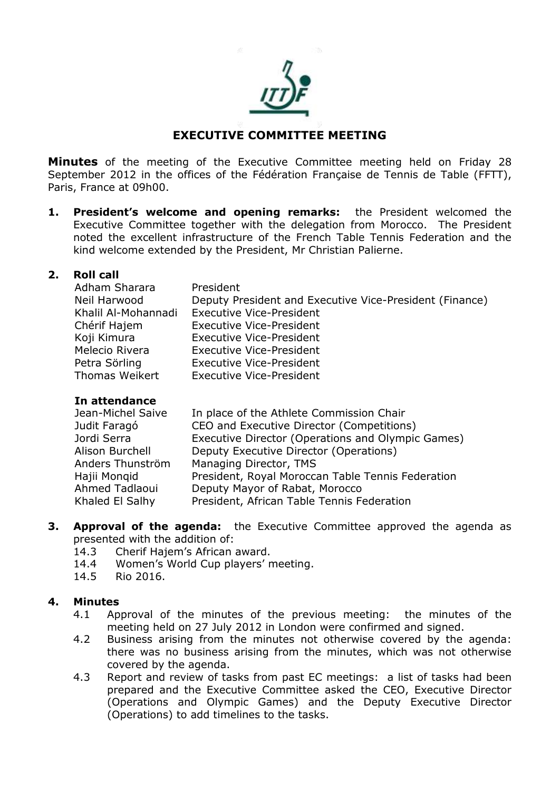

# **EXECUTIVE COMMITTEE MEETING**

**Minutes** of the meeting of the Executive Committee meeting held on Friday 28 September 2012 in the offices of the Fédération Française de Tennis de Table (FFTT), Paris, France at 09h00.

**1. President's welcome and opening remarks:** the President welcomed the Executive Committee together with the delegation from Morocco. The President noted the excellent infrastructure of the French Table Tennis Federation and the kind welcome extended by the President, Mr Christian Palierne.

#### **2. Roll call**

| Adham Sharara       | President                                               |
|---------------------|---------------------------------------------------------|
| Neil Harwood        | Deputy President and Executive Vice-President (Finance) |
| Khalil Al-Mohannadi | <b>Executive Vice-President</b>                         |
| Chérif Hajem        | <b>Executive Vice-President</b>                         |
| Koji Kimura         | <b>Executive Vice-President</b>                         |
| Melecio Rivera      | <b>Executive Vice-President</b>                         |
| Petra Sörling       | <b>Executive Vice-President</b>                         |
| Thomas Weikert      | <b>Executive Vice-President</b>                         |

#### **In attendance**

| Jean-Michel Saive | In place of the Athlete Commission Chair          |
|-------------------|---------------------------------------------------|
| Judit Faragó      | CEO and Executive Director (Competitions)         |
| Jordi Serra       | Executive Director (Operations and Olympic Games) |
| Alison Burchell   | Deputy Executive Director (Operations)            |
| Anders Thunström  | Managing Director, TMS                            |
| Hajii Mongid      | President, Royal Moroccan Table Tennis Federation |
| Ahmed Tadlaoui    | Deputy Mayor of Rabat, Morocco                    |
| Khaled El Salhy   | President, African Table Tennis Federation        |

- **3. Approval of the agenda:** the Executive Committee approved the agenda as presented with the addition of:
	- 14.3 Cherif Hajem's African award.
	- 14.4 Women's World Cup players' meeting.
	- 14.5 Rio 2016.

#### **4. Minutes**

- 4.1 Approval of the minutes of the previous meeting: the minutes of the meeting held on 27 July 2012 in London were confirmed and signed.
- 4.2 Business arising from the minutes not otherwise covered by the agenda: there was no business arising from the minutes, which was not otherwise covered by the agenda.
- 4.3 Report and review of tasks from past EC meetings: a list of tasks had been prepared and the Executive Committee asked the CEO, Executive Director (Operations and Olympic Games) and the Deputy Executive Director (Operations) to add timelines to the tasks.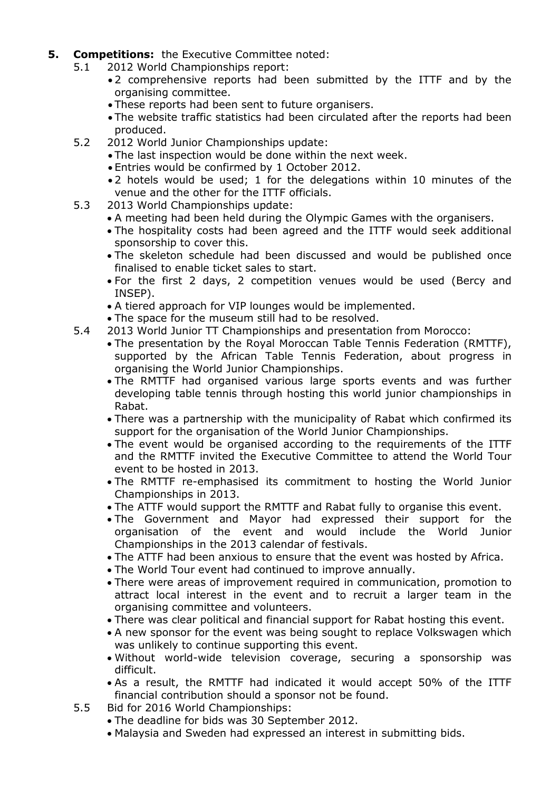- **5. Competitions:** the Executive Committee noted:
	- 5.1 2012 World Championships report:
		- 2 comprehensive reports had been submitted by the ITTF and by the organising committee.
		- These reports had been sent to future organisers.
		- The website traffic statistics had been circulated after the reports had been produced.
	- 5.2 2012 World Junior Championships update:
		- The last inspection would be done within the next week.
		- Entries would be confirmed by 1 October 2012.
		- 2 hotels would be used; 1 for the delegations within 10 minutes of the venue and the other for the ITTF officials.
	- 5.3 2013 World Championships update:
		- A meeting had been held during the Olympic Games with the organisers.
		- The hospitality costs had been agreed and the ITTF would seek additional sponsorship to cover this.
		- The skeleton schedule had been discussed and would be published once finalised to enable ticket sales to start.
		- For the first 2 days, 2 competition venues would be used (Bercy and INSEP).
		- A tiered approach for VIP lounges would be implemented.
		- The space for the museum still had to be resolved.
	- 5.4 2013 World Junior TT Championships and presentation from Morocco:
		- The presentation by the Royal Moroccan Table Tennis Federation (RMTTF), supported by the African Table Tennis Federation, about progress in organising the World Junior Championships.
		- The RMTTF had organised various large sports events and was further developing table tennis through hosting this world junior championships in Rabat.
		- There was a partnership with the municipality of Rabat which confirmed its support for the organisation of the World Junior Championships.
		- The event would be organised according to the requirements of the ITTF and the RMTTF invited the Executive Committee to attend the World Tour event to be hosted in 2013.
		- The RMTTF re-emphasised its commitment to hosting the World Junior Championships in 2013.
		- The ATTF would support the RMTTF and Rabat fully to organise this event.
		- The Government and Mayor had expressed their support for the organisation of the event and would include the World Junior Championships in the 2013 calendar of festivals.
		- The ATTF had been anxious to ensure that the event was hosted by Africa.
		- The World Tour event had continued to improve annually.
		- There were areas of improvement required in communication, promotion to attract local interest in the event and to recruit a larger team in the organising committee and volunteers.
		- There was clear political and financial support for Rabat hosting this event.
		- A new sponsor for the event was being sought to replace Volkswagen which was unlikely to continue supporting this event.
		- Without world-wide television coverage, securing a sponsorship was difficult.
		- As a result, the RMTTF had indicated it would accept 50% of the ITTF financial contribution should a sponsor not be found.
	- 5.5 Bid for 2016 World Championships:
		- The deadline for bids was 30 September 2012.
		- Malaysia and Sweden had expressed an interest in submitting bids.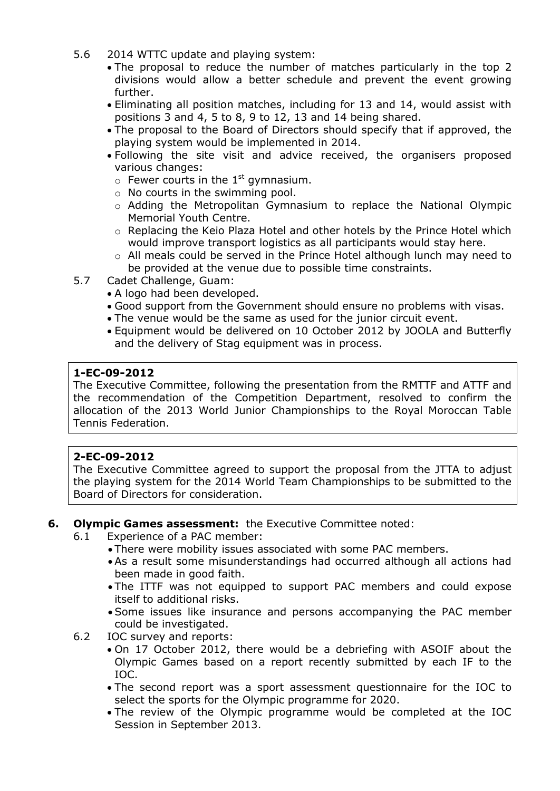- 5.6 2014 WTTC update and playing system:
	- The proposal to reduce the number of matches particularly in the top 2 divisions would allow a better schedule and prevent the event growing further.
	- Eliminating all position matches, including for 13 and 14, would assist with positions 3 and 4, 5 to 8, 9 to 12, 13 and 14 being shared.
	- The proposal to the Board of Directors should specify that if approved, the playing system would be implemented in 2014.
	- Following the site visit and advice received, the organisers proposed various changes:
		- $\circ$  Fewer courts in the 1<sup>st</sup> gymnasium.
		- o No courts in the swimming pool.
		- $\circ$  Adding the Metropolitan Gymnasium to replace the National Olympic Memorial Youth Centre.
		- o Replacing the Keio Plaza Hotel and other hotels by the Prince Hotel which would improve transport logistics as all participants would stay here.
		- $\circ$  All meals could be served in the Prince Hotel although lunch may need to be provided at the venue due to possible time constraints.
- 5.7 Cadet Challenge, Guam:
	- A logo had been developed.
	- Good support from the Government should ensure no problems with visas.
	- The venue would be the same as used for the junior circuit event.
	- Equipment would be delivered on 10 October 2012 by JOOLA and Butterfly and the delivery of Stag equipment was in process.

### **1-EC-09-2012**

The Executive Committee, following the presentation from the RMTTF and ATTF and the recommendation of the Competition Department, resolved to confirm the allocation of the 2013 World Junior Championships to the Royal Moroccan Table Tennis Federation.

#### **2-EC-09-2012**

The Executive Committee agreed to support the proposal from the JTTA to adjust the playing system for the 2014 World Team Championships to be submitted to the Board of Directors for consideration.

#### **6. Olympic Games assessment:** the Executive Committee noted:

- 6.1 Experience of a PAC member:
	- There were mobility issues associated with some PAC members.
	- As a result some misunderstandings had occurred although all actions had been made in good faith.
	- The ITTF was not equipped to support PAC members and could expose itself to additional risks.
	- Some issues like insurance and persons accompanying the PAC member could be investigated.
- 6.2 IOC survey and reports:
	- On 17 October 2012, there would be a debriefing with ASOIF about the Olympic Games based on a report recently submitted by each IF to the IOC.
	- The second report was a sport assessment questionnaire for the IOC to select the sports for the Olympic programme for 2020.
	- The review of the Olympic programme would be completed at the IOC Session in September 2013.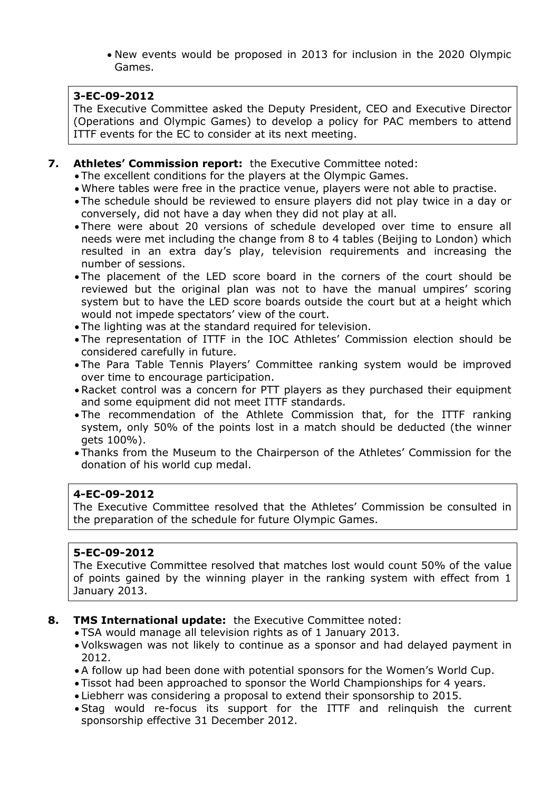New events would be proposed in 2013 for inclusion in the 2020 Olympic Games.

#### **3-EC-09-2012**

The Executive Committee asked the Deputy President, CEO and Executive Director (Operations and Olympic Games) to develop a policy for PAC members to attend ITTF events for the EC to consider at its next meeting.

- **7. Athletes' Commission report:** the Executive Committee noted:
	- The excellent conditions for the players at the Olympic Games.
	- Where tables were free in the practice venue, players were not able to practise.
	- The schedule should be reviewed to ensure players did not play twice in a day or conversely, did not have a day when they did not play at all.
	- There were about 20 versions of schedule developed over time to ensure all needs were met including the change from 8 to 4 tables (Beijing to London) which resulted in an extra day's play, television requirements and increasing the number of sessions.
	- The placement of the LED score board in the corners of the court should be reviewed but the original plan was not to have the manual umpires' scoring system but to have the LED score boards outside the court but at a height which would not impede spectators' view of the court.
	- The lighting was at the standard required for television.
	- The representation of ITTF in the IOC Athletes' Commission election should be considered carefully in future.
	- The Para Table Tennis Players' Committee ranking system would be improved over time to encourage participation.
	- Racket control was a concern for PTT players as they purchased their equipment and some equipment did not meet ITTF standards.
	- The recommendation of the Athlete Commission that, for the ITTF ranking system, only 50% of the points lost in a match should be deducted (the winner gets 100%).
	- Thanks from the Museum to the Chairperson of the Athletes' Commission for the donation of his world cup medal.

#### **4-EC-09-2012**

The Executive Committee resolved that the Athletes' Commission be consulted in the preparation of the schedule for future Olympic Games.

#### **5-EC-09-2012**

The Executive Committee resolved that matches lost would count 50% of the value of points gained by the winning player in the ranking system with effect from 1 January 2013.

- **8. TMS International update:** the Executive Committee noted:
	- TSA would manage all television rights as of 1 January 2013.
	- Volkswagen was not likely to continue as a sponsor and had delayed payment in 2012.
	- A follow up had been done with potential sponsors for the Women's World Cup.
	- Tissot had been approached to sponsor the World Championships for 4 years.
	- Liebherr was considering a proposal to extend their sponsorship to 2015.
	- Stag would re-focus its support for the ITTF and relinquish the current sponsorship effective 31 December 2012.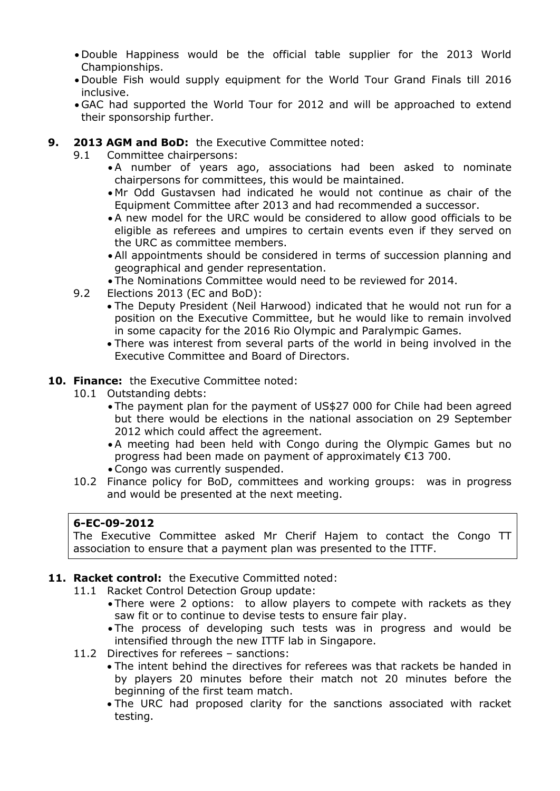- Double Happiness would be the official table supplier for the 2013 World Championships.
- Double Fish would supply equipment for the World Tour Grand Finals till 2016 inclusive.
- GAC had supported the World Tour for 2012 and will be approached to extend their sponsorship further.
- **9. 2013 AGM and BoD:** the Executive Committee noted:
	- 9.1 Committee chairpersons:
		- A number of years ago, associations had been asked to nominate chairpersons for committees, this would be maintained.
		- Mr Odd Gustavsen had indicated he would not continue as chair of the Equipment Committee after 2013 and had recommended a successor.
		- A new model for the URC would be considered to allow good officials to be eligible as referees and umpires to certain events even if they served on the URC as committee members.
		- All appointments should be considered in terms of succession planning and geographical and gender representation.
		- The Nominations Committee would need to be reviewed for 2014.
	- 9.2 Elections 2013 (EC and BoD):
		- The Deputy President (Neil Harwood) indicated that he would not run for a position on the Executive Committee, but he would like to remain involved in some capacity for the 2016 Rio Olympic and Paralympic Games.
		- There was interest from several parts of the world in being involved in the Executive Committee and Board of Directors.
- **10. Finance:** the Executive Committee noted:
	- 10.1 Outstanding debts:
		- The payment plan for the payment of US\$27 000 for Chile had been agreed but there would be elections in the national association on 29 September 2012 which could affect the agreement.
		- A meeting had been held with Congo during the Olympic Games but no progress had been made on payment of approximately €13 700.
		- Congo was currently suspended.
	- 10.2 Finance policy for BoD, committees and working groups: was in progress and would be presented at the next meeting.

#### **6-EC-09-2012**

The Executive Committee asked Mr Cherif Hajem to contact the Congo TT association to ensure that a payment plan was presented to the ITTF.

#### **11. Racket control:** the Executive Committed noted:

- 11.1 Racket Control Detection Group update:
	- There were 2 options: to allow players to compete with rackets as they saw fit or to continue to devise tests to ensure fair play.
	- The process of developing such tests was in progress and would be intensified through the new ITTF lab in Singapore.
- 11.2 Directives for referees sanctions:
	- The intent behind the directives for referees was that rackets be handed in by players 20 minutes before their match not 20 minutes before the beginning of the first team match.
	- The URC had proposed clarity for the sanctions associated with racket testing.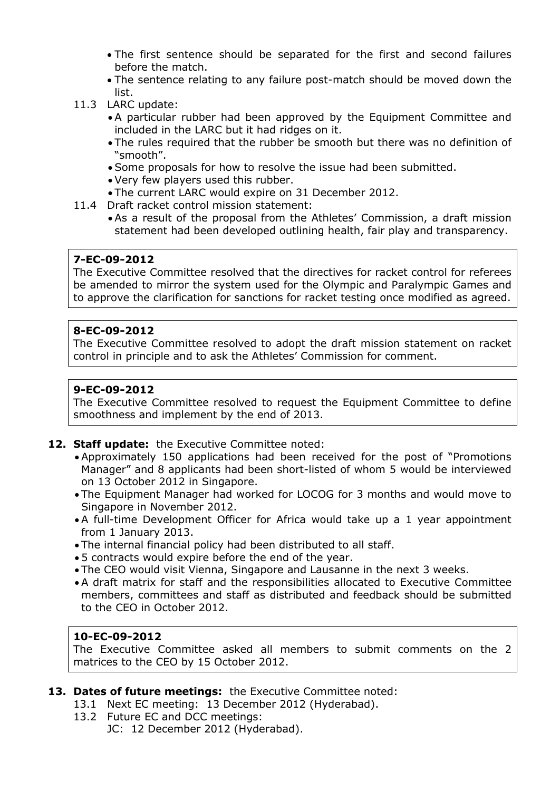- The first sentence should be separated for the first and second failures before the match.
- The sentence relating to any failure post-match should be moved down the list.
- 11.3 LARC update:
	- A particular rubber had been approved by the Equipment Committee and included in the LARC but it had ridges on it.
	- The rules required that the rubber be smooth but there was no definition of "smooth".
	- Some proposals for how to resolve the issue had been submitted.
	- Very few players used this rubber.
	- The current LARC would expire on 31 December 2012.
- 11.4 Draft racket control mission statement:
	- As a result of the proposal from the Athletes' Commission, a draft mission statement had been developed outlining health, fair play and transparency.

#### **7-EC-09-2012**

The Executive Committee resolved that the directives for racket control for referees be amended to mirror the system used for the Olympic and Paralympic Games and to approve the clarification for sanctions for racket testing once modified as agreed.

### **8-EC-09-2012**

The Executive Committee resolved to adopt the draft mission statement on racket control in principle and to ask the Athletes' Commission for comment.

#### **9-EC-09-2012**

The Executive Committee resolved to request the Equipment Committee to define smoothness and implement by the end of 2013.

#### **12. Staff update:** the Executive Committee noted:

- Approximately 150 applications had been received for the post of "Promotions Manager" and 8 applicants had been short-listed of whom 5 would be interviewed on 13 October 2012 in Singapore.
- The Equipment Manager had worked for LOCOG for 3 months and would move to Singapore in November 2012.
- A full-time Development Officer for Africa would take up a 1 year appointment from 1 January 2013.
- The internal financial policy had been distributed to all staff.
- 5 contracts would expire before the end of the year.
- The CEO would visit Vienna, Singapore and Lausanne in the next 3 weeks.
- A draft matrix for staff and the responsibilities allocated to Executive Committee members, committees and staff as distributed and feedback should be submitted to the CEO in October 2012.

#### **10-EC-09-2012**

The Executive Committee asked all members to submit comments on the 2 matrices to the CEO by 15 October 2012.

#### **13. Dates of future meetings:** the Executive Committee noted:

- 13.1 Next EC meeting: 13 December 2012 (Hyderabad).
- 13.2 Future EC and DCC meetings:
	- JC: 12 December 2012 (Hyderabad).